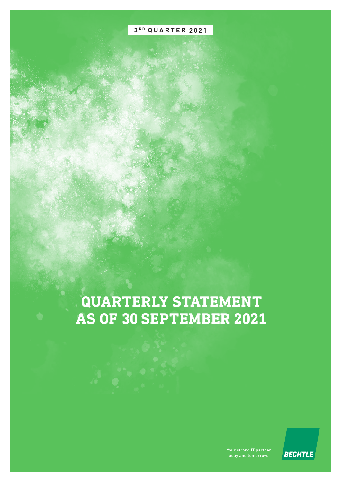## **3 R D QUARTER 2021**

# **QUARTERLY STATEMENT AS OF 30 SEPTEMBER 2021**

Your strong IT partner. Today and tomorrow.

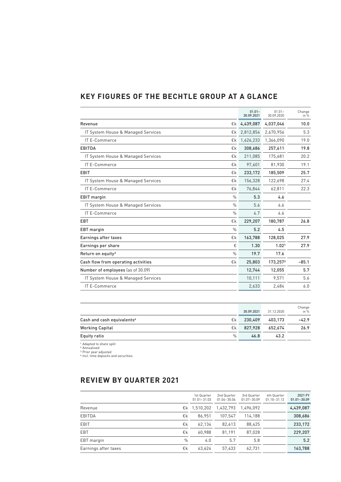## **KEY FIGURES OF THE BECHTLE GROUP AT A GLANCE**

|                                                     | $01.01 -$<br>30.09.2021 | $01.01 -$<br>30.09.2020 | Change<br>in $%$ |
|-----------------------------------------------------|-------------------------|-------------------------|------------------|
| €k<br>Revenue                                       | 4,439,087               | 4,037,046               | 10.0             |
| IT System House & Managed Services<br>€k            | 2,812,854               | 2,670,956               | 5.3              |
| IT E-Commerce<br>€k                                 | 1,626,233               | 1,366,090               | 19.0             |
| <b>EBITDA</b><br>€k                                 | 308,686                 | 257,611                 | 19.8             |
| €k<br>IT System House & Managed Services            | 211,085                 | 175,681                 | 20.2             |
| IT E-Commerce<br>€k                                 | 97,601                  | 81,930                  | 19.1             |
| <b>EBIT</b><br>€k                                   | 233,172                 | 185,509                 | 25.7             |
| IT System House & Managed Services<br>€k            | 156,328                 | 122,698                 | 27.4             |
| IT E-Commerce<br>€k                                 | 76,844                  | 62,811                  | 22.3             |
| $\frac{0}{0}$<br><b>EBIT</b> margin                 | 5.3                     | 4.6                     |                  |
| IT System House & Managed Services<br>$\frac{0}{0}$ | 5.6                     | 4.6                     |                  |
| IT E-Commerce<br>$\frac{0}{0}$                      | 4.7                     | 4.6                     |                  |
| <b>EBT</b><br>€k                                    | 229,207                 | 180,787                 | 26.8             |
| $\frac{0}{0}$<br><b>EBT</b> margin                  | 5.2                     | 4.5                     |                  |
| Earnings after taxes<br>€k                          | 163,788                 | 128,025                 | 27.9             |
| €<br>Earnings per share                             | 1.30                    | 1.02 <sup>1</sup>       | 27.9             |
| $\frac{0}{0}$<br>Return on equity <sup>2</sup>      | 19.7                    | 17.6                    |                  |
| Cash flow from operating activities<br>€k           | 25,803                  | 173,2573                | $-85.1$          |
| Number of employees (as of 30.09)                   | 12,744                  | 12,055                  | 5.7              |
| IT System House & Managed Services                  | 10,111                  | 9,571                   | 5.6              |
| IT E-Commerce                                       | 2,633                   | 2,484                   | 6.0              |
|                                                     |                         |                         |                  |

|                                              | 30.09.2021 | 31.12.2020 | Change<br>in % |
|----------------------------------------------|------------|------------|----------------|
| Cash and cash equivalents <sup>4</sup><br>€k | 230.409    | 403.173    | $-42.9$        |
| <b>Working Capital</b><br>€k                 | 827.928    | 652.674    | 26.9           |
| $\frac{0}{0}$<br>Equity ratio                | 46.8       | 43.2       |                |

1 Adapted to share split 2 Annualised 3 Prior year adjusted ⁴ Incl. time deposits and securities

## **REVIEW BY QUARTER 2021**

|                      |               | 1st Quarter<br>$01.01 - 31.03$ | 2nd Quarter<br>$01.04 - 30.06$ | 3rd Quarter<br>$01.07 - 30.09$ | 4th Quarter<br>$01.10 - 31.12$ | 2021 FY<br>$01.01 - 30.09$ |
|----------------------|---------------|--------------------------------|--------------------------------|--------------------------------|--------------------------------|----------------------------|
| Revenue              |               | €k 1.510.202                   | 1.432.793                      | 1.496.092                      |                                | 4,439,087                  |
| <b>EBITDA</b>        | €k            | 86.951                         | 107.547                        | 114.188                        |                                | 308,686                    |
| <b>EBIT</b>          | €k            | 62.134                         | 82.613                         | 88.425                         |                                | 233,172                    |
| <b>EBT</b>           | €k            | 60.988                         | 81.191                         | 87.028                         |                                | 229,207                    |
| EBT margin           | $\frac{0}{0}$ | 4.0                            | 5.7                            | 5.8                            |                                | 5.2                        |
| Earnings after taxes | €k            | 43.624                         | 57,433                         | 62,731                         |                                | 163.788                    |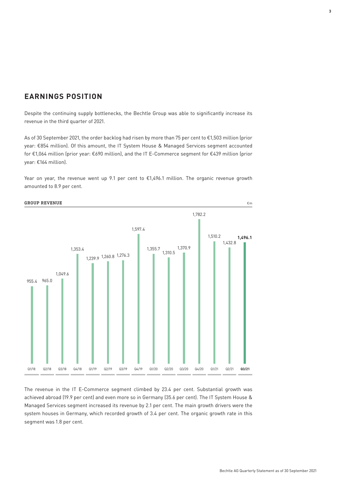## **EARNINGS POSITION**

Despite the continuing supply bottlenecks, the Bechtle Group was able to significantly increase its revenue in the third quarter of 2021.

As of 30 September 2021, the order backlog had risen by more than 75 per cent to €1,503 million (prior year: €854 million). Of this amount, the IT System House & Managed Services segment accounted for €1,064 million (prior year: €690 million), and the IT E-Commerce segment for €439 million (prior year: €164 million).

Year on year, the revenue went up 9.1 per cent to €1,496.1 million. The organic revenue growth amounted to 8.9 per cent.



The revenue in the IT E-Commerce segment climbed by 23.4 per cent. Substantial growth was achieved abroad (19.9 per cent) and even more so in Germany (35.6 per cent). The IT System House & Managed Services segment increased its revenue by 2.1 per cent. The main growth drivers were the system houses in Germany, which recorded growth of 3.4 per cent. The organic growth rate in this segment was 1.8 per cent.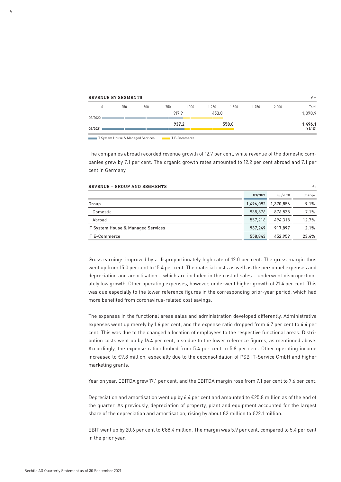| <b>REVENUE BY SEGMENTS</b> |     |     |     |       |       |       |       |       | €m                    |
|----------------------------|-----|-----|-----|-------|-------|-------|-------|-------|-----------------------|
| 0                          | 250 | 500 | 750 | 1.000 | 1.250 | .500  | 1.750 | 2,000 | Total                 |
| Q3/2020                    |     |     |     | 917.9 | 453.0 |       |       |       | 1,370.9               |
| 03/2021                    |     |     |     | 937.2 |       | 558.8 |       |       | 1,496.1<br>$(+9.1\%)$ |
|                            |     |     |     |       |       |       |       |       |                       |

IT System House & Managed Services IT E-Commerce

The companies abroad recorded revenue growth of 12.7 per cent, while revenue of the domestic companies grew by 7.1 per cent. The organic growth rates amounted to 12.2 per cent abroad and 7.1 per cent in Germany.

| <b>REVENUE - GROUP AND SEGMENTS</b> |           |           | €k     |
|-------------------------------------|-----------|-----------|--------|
|                                     | Q3/2021   | Q3/2020   | Change |
| Group                               | 1,496,092 | 1,370,856 | 9.1%   |
| Domestic                            | 938.876   | 876.538   | 7.1%   |
| Abroad                              | 557.216   | 494.318   | 12.7%  |
| IT System House & Managed Services  | 937.249   | 917.897   | 2.1%   |
| <b>IT E-Commerce</b>                | 558.843   | 452.959   | 23.4%  |

Gross earnings improved by a disproportionately high rate of 12.0 per cent. The gross margin thus went up from 15.0 per cent to 15.4 per cent. The material costs as well as the personnel expenses and depreciation and amortisation – which are included in the cost of sales – underwent disproportionately low growth. Other operating expenses, however, underwent higher growth of 21.4 per cent. This was due especially to the lower reference figures in the corresponding prior-year period, which had more benefited from coronavirus-related cost savings.

The expenses in the functional areas sales and administration developed differently. Administrative expenses went up merely by 1.6 per cent, and the expense ratio dropped from 4.7 per cent to 4.4 per cent. This was due to the changed allocation of employees to the respective functional areas. Distribution costs went up by 16.4 per cent, also due to the lower reference figures, as mentioned above. Accordingly, the expense ratio climbed from 5.4 per cent to 5.8 per cent. Other operating income increased to €9.8 million, especially due to the deconsolidation of PSB IT-Service GmbH and higher marketing grants.

Year on year, EBITDA grew 17.1 per cent, and the EBITDA margin rose from 7.1 per cent to 7.6 per cent.

Depreciation and amortisation went up by 6.4 per cent and amounted to  $E25.8$  million as of the end of the quarter. As previously, depreciation of property, plant and equipment accounted for the largest share of the depreciation and amortisation, rising by about €2 million to €22.1 million.

EBIT went up by 20.6 per cent to €88.4 million. The margin was 5.9 per cent, compared to 5.4 per cent in the prior year.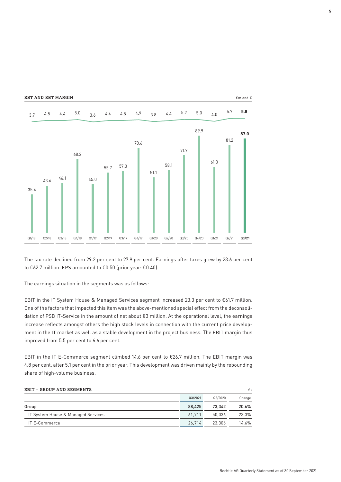**EBT AND EBT MARGIN** €m and %



The tax rate declined from 29.2 per cent to 27.9 per cent. Earnings after taxes grew by 23.6 per cent to €62.7 million. EPS amounted to €0.50 (prior year: €0.40).

The earnings situation in the segments was as follows:

EBIT in the IT System House & Managed Services segment increased 23.3 per cent to €61.7 million. One of the factors that impacted this item was the above-mentioned special effect from the deconsolidation of PSB IT-Service in the amount of net about €3 million. At the operational level, the earnings increase reflects amongst others the high stock levels in connection with the current price development in the IT market as well as a stable development in the project business. The EBIT margin thus improved from 5.5 per cent to 6.6 per cent.

EBIT in the IT E-Commerce segment climbed 14.6 per cent to €26.7 million. The EBIT margin was 4.8 per cent, after 5.1 per cent in the prior year. This development was driven mainly by the rebounding share of high-volume business.

| EBIT - GROUP AND SEGMENTS          |         |         | €k       |
|------------------------------------|---------|---------|----------|
|                                    | Q3/2021 | Q3/2020 | Change   |
| Group                              | 88.425  | 73.342  | 20.6%    |
| IT System House & Managed Services | 61.711  | 50.036  | 23.3%    |
| IT E-Commerce                      | 26.714  | 23.306  | $14.6\%$ |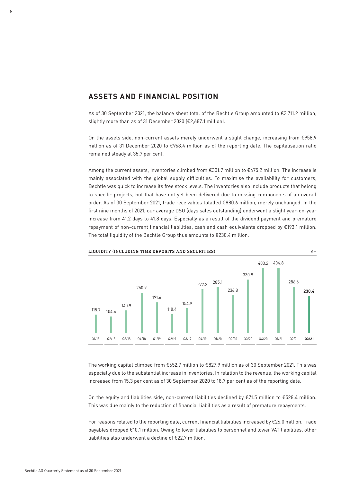### **ASSETS AND FINANCIAL POSITION**

As of 30 September 2021, the balance sheet total of the Bechtle Group amounted to €2,711.2 million, slightly more than as of 31 December 2020 (€2,687.1 million).

On the assets side, non-current assets merely underwent a slight change, increasing from €958.9 million as of 31 December 2020 to €968.4 million as of the reporting date. The capitalisation ratio remained steady at 35.7 per cent.

Among the current assets, inventories climbed from €301.7 million to €475.2 million. The increase is mainly associated with the global supply difficulties. To maximise the availability for customers, Bechtle was quick to increase its free stock levels. The inventories also include products that belong to specific projects, but that have not yet been delivered due to missing components of an overall order. As of 30 September 2021, trade receivables totalled €880.6 million, merely unchanged. In the first nine months of 2021, our average DSO (days sales outstanding) underwent a slight year-on-year increase from 41.2 days to 41.8 days. Especially as a result of the dividend payment and premature repayment of non-current financial liabilities, cash and cash equivalents dropped by €193.1 million. The total liquidity of the Bechtle Group thus amounts to €230.4 million.



#### LIQUIDITY (INCLUDING TIME DEPOSITS AND SECURITIES)  $\epsilon_{\text{m}}$

The working capital climbed from €652.7 million to €827.9 million as of 30 September 2021. This was especially due to the substantial increase in inventories. In relation to the revenue, the working capital increased from 15.3 per cent as of 30 September 2020 to 18.7 per cent as of the reporting date.

On the equity and liabilities side, non-current liabilities declined by €71.5 million to €528.4 million. This was due mainly to the reduction of financial liabilities as a result of premature repayments.

For reasons related to the reporting date, current financial liabilities increased by €26.0 million. Trade payables dropped €10.1 million. Owing to lower liabilities to personnel and lower VAT liabilities, other liabilities also underwent a decline of €22.7 million.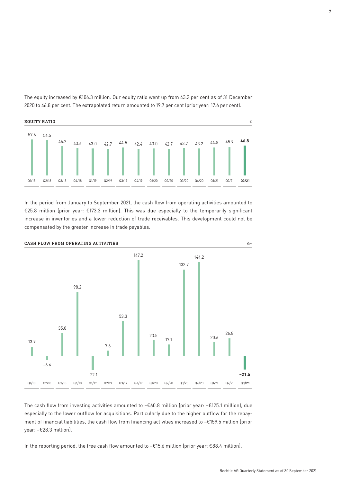

The equity increased by €106.3 million. Our equity ratio went up from 43.2 per cent as of 31 December 2020 to 46.8 per cent. The extrapolated return amounted to 19.7 per cent (prior year: 17.6 per cent).

In the period from January to September 2021, the cash flow from operating activities amounted to €25.8 million (prior year: €173.3 million). This was due especially to the temporarily significant increase in inventories and a lower reduction of trade receivables. This development could not be compensated by the greater increase in trade payables.



The cash flow from investing activities amounted to −€60.8 million (prior year: −€125.1 million), due especially to the lower outflow for acquisitions. Particularly due to the higher outflow for the repayment of financial liabilities, the cash flow from financing activities increased to −€159.5 million (prior year: −€28.3 million).

In the reporting period, the free cash flow amounted to −€15.6 million (prior year: €88.4 million).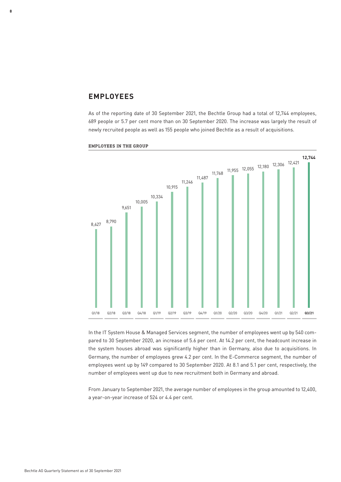#### **EMPLOYEES**

**8**

As of the reporting date of 30 September 2021, the Bechtle Group had a total of 12,744 employees, 689 people or 5.7 per cent more than on 30 September 2020. The increase was largely the result of newly recruited people as well as 155 people who joined Bechtle as a result of acquisitions.



EMPLOYEES IN THE GROUP

In the IT System House & Managed Services segment, the number of employees went up by 540 compared to 30 September 2020, an increase of 5.6 per cent. At 14.2 per cent, the headcount increase in the system houses abroad was significantly higher than in Germany, also due to acquisitions. In Germany, the number of employees grew 4.2 per cent. In the E-Commerce segment, the number of employees went up by 149 compared to 30 September 2020. At 8.1 and 5.1 per cent, respectively, the number of employees went up due to new recruitment both in Germany and abroad.

From January to September 2021, the average number of employees in the group amounted to 12,400, a year-on-year increase of 524 or 4.4 per cent.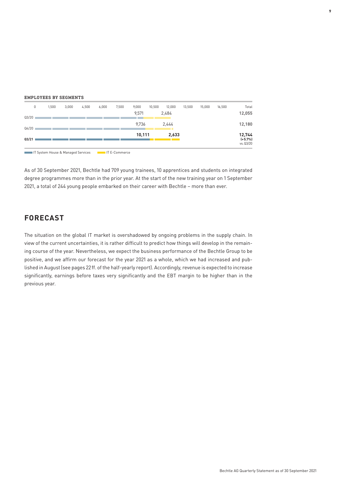|  | <b>EMPLOYEES BY SEGMENTS</b> |
|--|------------------------------|
|  |                              |

|       | 0 | 1,500 | 3,000 | 4,500 | 6,000 | 7,500 | 9,000  | 10,500 | 12,000        | 13,500 | 15,000 | 16,500 | Total               |
|-------|---|-------|-------|-------|-------|-------|--------|--------|---------------|--------|--------|--------|---------------------|
| Q3/20 |   |       |       |       |       |       | 9,571  |        | 2,484         |        |        |        | 12,055              |
| Q4/20 |   |       |       |       |       |       | 9,736  |        | 2,444<br>- 11 |        |        |        | 12,180              |
| Q3/21 |   |       |       |       |       |       | 10,111 |        |               | 2,633  |        |        | 12,744<br>$(+5.7%)$ |
|       |   |       |       |       |       |       |        |        |               |        |        |        | vs. Q3/20           |

IT System House & Managed Services IT E-Commerce

As of 30 September 2021, Bechtle had 709 young trainees, 10 apprentices and students on integrated degree programmes more than in the prior year. At the start of the new training year on 1 September 2021, a total of 244 young people embarked on their career with Bechtle – more than ever.

## **FORECAST**

The situation on the global IT market is overshadowed by ongoing problems in the supply chain. In view of the current uncertainties, it is rather difficult to predict how things will develop in the remaining course of the year. Nevertheless, we expect the business performance of the Bechtle Group to be positive, and we affirm our forecast for the year 2021 as a whole, which we had increased and published in August (see pages 22 ff. of the half-yearly report). Accordingly, revenue is expected to increase significantly, earnings before taxes very significantly and the EBT margin to be higher than in the previous year.

**9**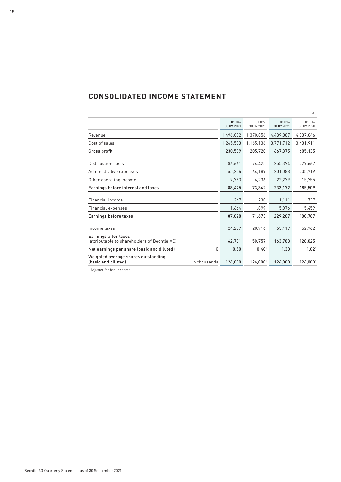## **CONSOLIDATED INCOME STATEMENT**

|                                                                            |                         |                         |                         | €k                      |
|----------------------------------------------------------------------------|-------------------------|-------------------------|-------------------------|-------------------------|
|                                                                            | $01.07 -$<br>30.09.2021 | $01.07 -$<br>30.09.2020 | $01.01 -$<br>30.09.2021 | $01.01 -$<br>30.09.2020 |
| Revenue                                                                    | 1,496,092               | 1,370,856               | 4,439,087               | 4,037,046               |
| Cost of sales                                                              | 1,265,583               | 1,165,136               | 3,771,712               | 3,431,911               |
| Gross profit                                                               | 230,509                 | 205,720                 | 667,375                 | 605,135                 |
| Distribution costs                                                         | 86,661                  | 74,425                  | 255,394                 | 229,662                 |
| Administrative expenses                                                    | 65,206                  | 64,189                  | 201,088                 | 205,719                 |
| Other operating income                                                     | 9,783                   | 6,236                   | 22,279                  | 15,755                  |
| Earnings before interest and taxes                                         | 88,425                  | 73,342                  | 233,172                 | 185,509                 |
| Financial income                                                           | 267                     | 230                     | 1,111                   | 737                     |
| Financial expenses                                                         | 1,664                   | 1,899                   | 5,076                   | 5,459                   |
| Earnings before taxes                                                      | 87,028                  | 71,673                  | 229,207                 | 180,787                 |
| Income taxes                                                               | 24,297                  | 20,916                  | 65,419                  | 52,762                  |
| Earnings after taxes<br>lattributable to shareholders of Bechtle AGI       | 62,731                  | 50,757                  | 163,788                 | 128,025                 |
| €<br>Net earnings per share (basic and diluted)                            | 0.50                    | 0.401                   | 1.30                    | 1.02 <sup>1</sup>       |
| Weighted average shares outstanding<br>(basic and diluted)<br>in thousands | 126,000                 | 126,0001                | 126,000                 | 126,0001                |

1 Adjusted for bonus shares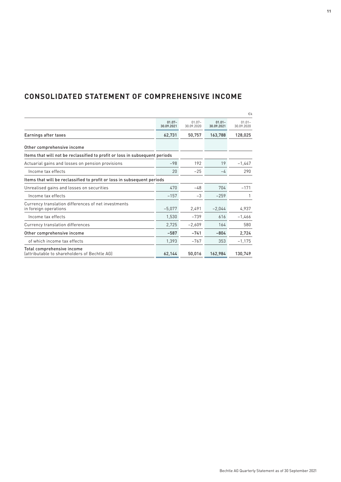## **CONSOLIDATED STATEMENT OF COMPREHENSIVE INCOME**

|                                                                              |                         |                         |                         | €k                      |
|------------------------------------------------------------------------------|-------------------------|-------------------------|-------------------------|-------------------------|
|                                                                              | $01.07 -$<br>30.09.2021 | $01.07 -$<br>30.09.2020 | $01.01 -$<br>30.09.2021 | $01.01 -$<br>30.09.2020 |
| Earnings after taxes                                                         | 62,731                  | 50,757                  | 163,788                 | 128,025                 |
| Other comprehensive income                                                   |                         |                         |                         |                         |
| Items that will not be reclassified to profit or loss in subsequent periods  |                         |                         |                         |                         |
| Actuarial gains and losses on pension provisions                             | $-98$                   | 192                     | 19                      | $-1,447$                |
| Income tax effects                                                           | 20                      | $-25$                   | $-4$                    | 290                     |
| Items that will be reclassified to profit or loss in subsequent periods      |                         |                         |                         |                         |
| Unrealised gains and losses on securities                                    | 470                     | $-48$                   | 704                     | $-171$                  |
| Income tax effects                                                           | $-157$                  | $-3$                    | $-259$                  |                         |
| Currency translation differences of net investments<br>in foreign operations | $-5,077$                | 2,491                   | $-2,044$                | 4,937                   |
| Income tax effects                                                           | 1,530                   | $-739$                  | 616                     | $-1,466$                |
| Currency translation differences                                             | 2,725                   | $-2,609$                | 164                     | 580                     |
| Other comprehensive income                                                   | $-587$                  | $-741$                  | $-804$                  | 2,724                   |
| of which income tax effects                                                  | 1,393                   | $-767$                  | 353                     | $-1,175$                |
| Total comprehensive income<br>(attributable to shareholders of Bechtle AG)   | 62,144                  | 50,016                  | 162,984                 | 130,749                 |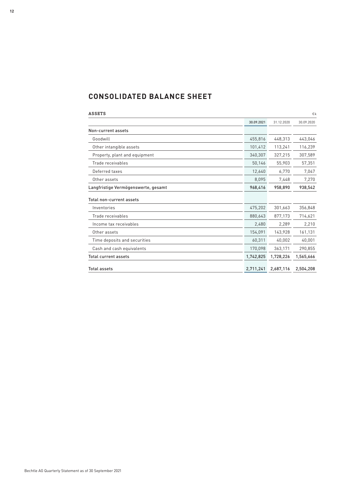## **CONSOLIDATED BALANCE SHEET**

| <b>ASSETS</b>                       |            |            | €k         |
|-------------------------------------|------------|------------|------------|
|                                     | 30.09.2021 | 31.12.2020 | 30.09.2020 |
| Non-current assets                  |            |            |            |
| Goodwill                            | 455,816    | 448,313    | 443,046    |
| Other intangible assets             | 101,412    | 113,241    | 116,239    |
| Property, plant and equipment       | 340,307    | 327,215    | 307,589    |
| Trade receivables                   | 50,146     | 55,903     | 57,351     |
| Deferred taxes                      | 12,640     | 6,770      | 7,047      |
| Other assets                        | 8,095      | 7,448      | 7,270      |
| Langfristige Vermögenswerte, gesamt | 968,416    | 958,890    | 938,542    |
| Total non-current assets            |            |            |            |
| Inventories                         | 475,202    | 301,663    | 356,848    |
| Trade receivables                   | 880,643    | 877,173    | 714,621    |
| Income tax receivables              | 2,480      | 2,289      | 2,210      |
| Other assets                        | 154,091    | 143,928    | 161,131    |
| Time deposits and securities        | 60,311     | 40,002     | 40,001     |
| Cash and cash equivalents           | 170,098    | 363,171    | 290,855    |
| <b>Total current assets</b>         | 1,742,825  | 1,728,226  | 1,565,666  |
| <b>Total assets</b>                 | 2,711,241  | 2,687,116  | 2,504,208  |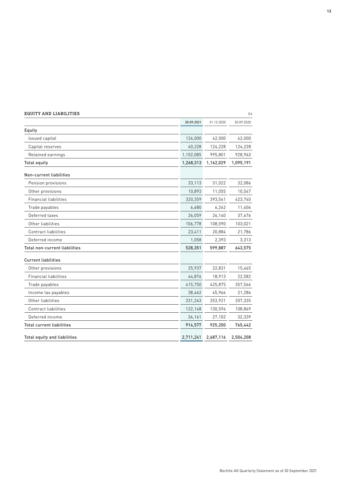| <b>EQUITY AND LIABILITIES</b>       |            |            | €k         |
|-------------------------------------|------------|------------|------------|
|                                     | 30.09.2021 | 31.12.2020 | 30.09.2020 |
| Equity                              |            |            |            |
| Issued capital                      | 126,000    | 42,000     | 42,000     |
| Capital reserves                    | 40,228     | 124,228    | 124,228    |
| Retained earnings                   | 1,102,085  | 995,801    | 928,963    |
| <b>Total equity</b>                 | 1,268,313  | 1,162,029  | 1,095,191  |
| Non-current liabilities             |            |            |            |
| Pension provisions                  | 33,113     | 31,022     | 32,086     |
| Other provisions                    | 10,893     | 11,055     | 10,547     |
| <b>Financial liabilities</b>        | 320,359    | 393,541    | 423,740    |
| Trade payables                      | 6,680      | 6,262      | 11,406     |
| Deferred taxes                      | 26,059     | 26,140     | 37,676     |
| Other liabilities                   | 106,778    | 108,590    | 103,021    |
| <b>Contract liabilities</b>         | 23,411     | 20,884     | 21,786     |
| Deferred income                     | 1,058      | 2,393      | 3,313      |
| Total non-current liabilities       | 528,351    | 599,887    | 643,575    |
| <b>Current liabilities</b>          |            |            |            |
| Other provisions                    | 25,937     | 22,831     | 15,465     |
| <b>Financial liabilities</b>        | 44,876     | 18,913     | 22,582     |
| Trade payables                      | 415,750    | 425,875    | 357,566    |
| Income tax payables                 | 38,462     | 45,964     | 21,286     |
| Other liabilities                   | 231,243    | 253,921    | 207,335    |
| <b>Contract liabilities</b>         | 122,148    | 130,594    | 108,869    |
| Deferred income                     | 36,161     | 27,102     | 32,339     |
| <b>Total current liabilities</b>    | 914,577    | 925,200    | 765,442    |
| <b>Total equity and liabilities</b> | 2,711,241  | 2,687,116  | 2,504,208  |

Bechtle AG Quarterly Statement as of 30 September 2021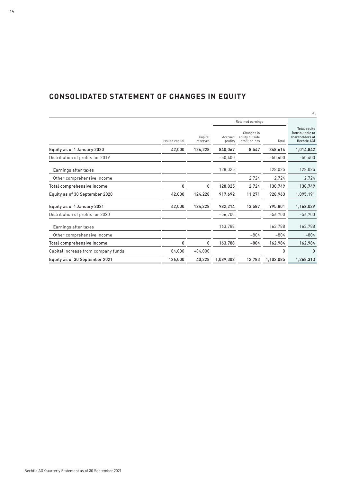| CONSOLIDATED STATEMENT OF CHANGES IN EQUITY |  |  |  |
|---------------------------------------------|--|--|--|
|---------------------------------------------|--|--|--|

|                                     |                |                     |                    |                                                |           | €k                                                                               |
|-------------------------------------|----------------|---------------------|--------------------|------------------------------------------------|-----------|----------------------------------------------------------------------------------|
|                                     |                | Retained earnings   |                    |                                                |           |                                                                                  |
|                                     | Issued capital | Capital<br>reserves | Accrued<br>profits | Changes in<br>equity outside<br>profit or loss | Total     | <b>Total equity</b><br>lattributable to<br>shareholders of<br><b>Bechtle AGI</b> |
| Equity as of 1 January 2020         | 42,000         | 124,228             | 840,067            | 8,547                                          | 848,614   | 1,014,842                                                                        |
| Distribution of profits for 2019    |                |                     | $-50,400$          |                                                | $-50.400$ | $-50,400$                                                                        |
| Earnings after taxes                |                |                     | 128,025            |                                                | 128,025   | 128,025                                                                          |
| Other comprehensive income          |                |                     |                    | 2,724                                          | 2,724     | 2,724                                                                            |
| Total comprehensive income          | 0              | 0                   | 128,025            | 2,724                                          | 130,749   | 130,749                                                                          |
| Equity as of 30 September 2020      | 42,000         | 124,228             | 917,692            | 11,271                                         | 928,963   | 1,095,191                                                                        |
| Equity as of 1 January 2021         | 42,000         | 124,228             | 982,214            | 13,587                                         | 995,801   | 1,162,029                                                                        |
| Distribution of profits for 2020    |                |                     | $-56,700$          |                                                | $-56,700$ | $-56,700$                                                                        |
| Earnings after taxes                |                |                     | 163,788            |                                                | 163,788   | 163,788                                                                          |
| Other comprehensive income          |                |                     |                    | $-804$                                         | $-804$    | $-804$                                                                           |
| Total comprehensive income          | 0              | 0                   | 163,788            | $-804$                                         | 162,984   | 162,984                                                                          |
| Capital increase from company funds | 84,000         | $-84,000$           |                    |                                                | 0         | 0                                                                                |
| Equity as of 30 September 2021      | 126,000        | 40,228              | 1.089.302          | 12,783                                         | 1,102,085 | 1,268,313                                                                        |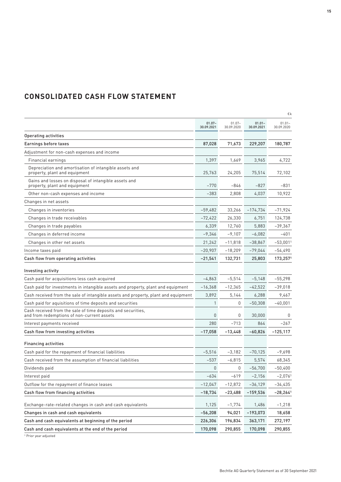| <b>CONSOLIDATED CASH FLOW STATEMENT</b> |  |  |
|-----------------------------------------|--|--|
|-----------------------------------------|--|--|

|                                                                                                            |                         |                         |                         | €k                      |
|------------------------------------------------------------------------------------------------------------|-------------------------|-------------------------|-------------------------|-------------------------|
|                                                                                                            | $01.07 -$<br>30.09.2021 | $01.07 -$<br>30.09.2020 | $01.01 -$<br>30.09.2021 | $01.01 -$<br>30.09.2020 |
| <b>Operating activities</b>                                                                                |                         |                         |                         |                         |
| Earnings before taxes                                                                                      | 87,028                  | 71,673                  | 229,207                 | 180,787                 |
| Adjustment for non-cash expenses and income                                                                |                         |                         |                         |                         |
| Financial earnings                                                                                         | 1,397                   | 1,669                   | 3,965                   | 4,722                   |
| Depreciation and amortisation of intangible assets and<br>property, plant and equipment                    | 25,763                  | 24,205                  | 75,514                  | 72,102                  |
| Gains and losses on disposal of intangible assets and<br>property, plant and equipment                     | $-770$                  | -846                    | $-827$                  | -831                    |
| Other non-cash expenses and income                                                                         | $-383$                  | 2,808                   | 4,037                   | 10,922                  |
| Changes in net assets                                                                                      |                         |                         |                         |                         |
| Changes in inventories                                                                                     | $-59,482$               | 33,266                  | $-174,734$              | $-71,924$               |
| Changes in trade receivables                                                                               | $-72,422$               | 26,330                  | 6,751                   | 124,738                 |
| Changes in trade payables                                                                                  | 6,339                   | 12,760                  | 5,883                   | $-39,367$               |
| Changes in deferred income                                                                                 | $-9,346$                | $-9,107$                | $-6,082$                | -401                    |
| Changes in other net assets                                                                                | 21,242                  | $-11,818$               | $-38,867$               | $-53,0011$              |
| Income taxes paid                                                                                          | $-20,907$               | $-18,209$               | $-79,044$               | $-54,490$               |
| Cash flow from operating activities                                                                        | -21,541                 | 132,731                 | 25,803                  | 173,2571                |
| Investing activity                                                                                         |                         |                         |                         |                         |
| Cash paid for acquisitions less cash acquired                                                              | $-4,863$                | $-5,514$                | $-5,148$                | $-55,298$               |
| Cash paid for investments in intangible assets and property, plant and equipment                           | $-16,368$               | $-12,365$               | $-42,522$               | $-39,018$               |
| Cash received from the sale of intangible assets and property, plant and equipment                         | 3,892                   | 5,144                   | 6,288                   | 9,467                   |
| Cash paid for aquisitions of time deposits and securities                                                  | 1                       | 0                       | $-50,308$               | $-40,001$               |
| Cash received from the sale of time deposits and securities,<br>and from redemptions of non-current assets | 0                       | 0                       | 30,000                  | 0                       |
| Interest payments received                                                                                 | 280                     | $-713$                  | 864                     | -267                    |
| Cash flow from investing activities                                                                        | $-17,058$               | $-13,448$               | $-60,826$               | $-125,117$              |
| <b>Financing activities</b>                                                                                |                         |                         |                         |                         |
| Cash paid for the repayment of financial liabilities                                                       | $-5,516$                | $-3.182$                | $-70,125$               | $-9,698$                |
| Cash received from the assumption of financial liabilities                                                 | $-537$                  | $-6,815$                | 5,574                   | 68,345                  |
| Dividends paid                                                                                             | 0                       | 0                       | $-56,700$               | $-50,400$               |
| Interest paid                                                                                              | $-634$                  | $-619$                  | $-2,156$                | $-2,0761$               |
| Outflow for the repayment of finance leases                                                                | $-12,047$               | $-12,872$               | $-36,129$               | -34,435                 |
| Cash flow from financing activities                                                                        | $-18,734$               | $-23,488$               | $-159,536$              | $-28,264$ <sup>1</sup>  |
| Exchange-rate-related changes in cash and cash equivalents                                                 | 1,125                   | $-1,774$                | 1,486                   | $-1,218$                |
| Changes in cash and cash equivalents                                                                       | $-56,208$               | 94,021                  | $-193,073$              | 18,658                  |
| Cash and cash equivalents at beginning of the period                                                       | 226,306                 | 196,834                 | 363,171                 | 272,197                 |
| Cash and cash equivalents at the end of the period                                                         | 170,098                 | 290,855                 | 170,098                 | 290,855                 |

<sup>1</sup> Prior year adjusted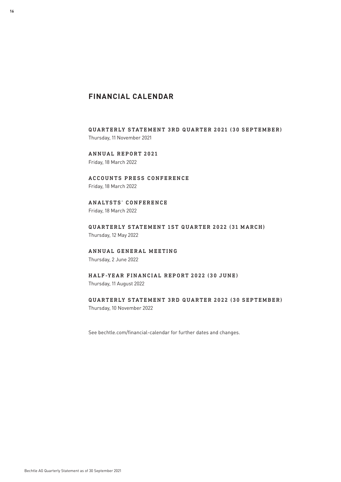## **FINANCIAL CALENDAR**

QUARTERLY STATEMENT 3RD QUARTER 2021 (30 SEPTEMBER) Thursday, 11 November 2021

ANNUAL REPORT 2021 Friday, 18 March 2022

ACCOUNTS PRESS CONFERENCE Friday, 18 March 2022

## ANALYSTS' CONFERENCE

Friday, 18 March 2022

QUARTERLY STATEMENT 1ST QUARTER 2022 (31 MARCH) Thursday, 12 May 2022

#### ANNUAL GENERAL MEETING

Thursday, 2 June 2022

#### HALF-YEAR FINANCIAL REPORT 2022 (30 JUNE) Thursday, 11 August 2022

## QUARTERLY STATEMENT 3RD QUARTER 2022 (30 SEPTEMBER)

Thursday, 10 November 2022

See [bechtle.com/financial-calendar](https://www.bechtle.com/de-en/about-bechtle/investors/financial-calendar) for further dates and changes.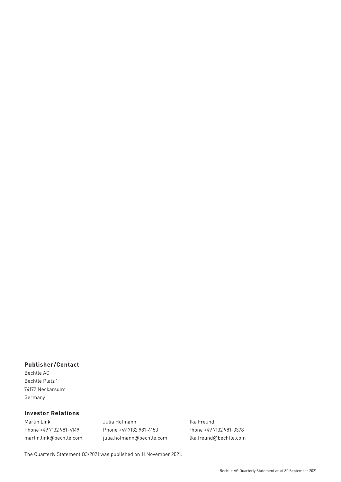#### **Publisher/Contact**

Bechtle AG Bechtle Platz 1 74172 Neckarsulm Germany

#### **Investor Relations**

Martin Link **International Communist Communist Communist Communist Communist Communist Communist Communist Communist Communist Communist Communist Communist Communist Communist Communist Communist Communist Communist Commu** 

Phone +49 7132 981-4149 Phone +49 7132 981-4153 Phone +49 7132 981-3378 [martin.link@bechtle.com](mailto:martin.link%40bechtle.com?subject=Quarterly%20Statement%20as%20of%2030%20September%202021) [julia.hofmann@bechtle.com](mailto:julia.hofmann%40bechtle.com?subject=Quarterly%20Statement%20as%20of%2030%20September%202021) [ilka.freund@bechtle.com](mailto:ilka.freund%40bechtle.com?subject=Quarterly%20Statement%20as%20of%2030%20September%202021)

The Quarterly Statement Q3/2021 was published on 11 November 2021.